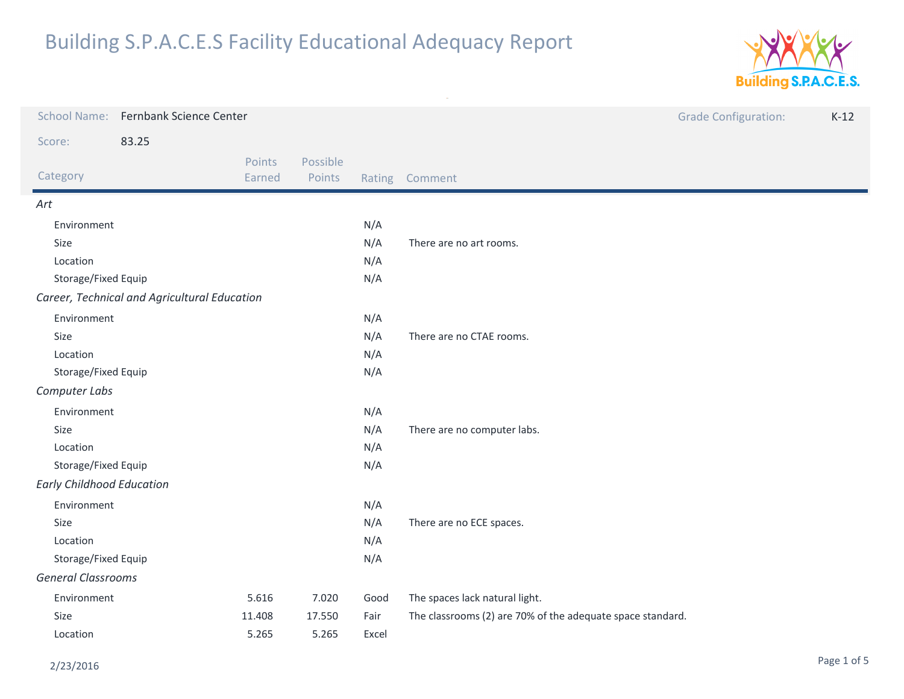

| <b>School Name:</b>              | Fernbank Science Center                      |                  |                    |       |                                                            | <b>Grade Configuration:</b> | $K-12$ |
|----------------------------------|----------------------------------------------|------------------|--------------------|-------|------------------------------------------------------------|-----------------------------|--------|
| Score:                           | 83.25                                        |                  |                    |       |                                                            |                             |        |
| Category                         |                                              | Points<br>Earned | Possible<br>Points |       | Rating Comment                                             |                             |        |
| Art                              |                                              |                  |                    |       |                                                            |                             |        |
| Environment                      |                                              |                  |                    | N/A   |                                                            |                             |        |
| Size                             |                                              |                  |                    | N/A   | There are no art rooms.                                    |                             |        |
| Location                         |                                              |                  |                    | N/A   |                                                            |                             |        |
| Storage/Fixed Equip              |                                              |                  |                    | N/A   |                                                            |                             |        |
|                                  | Career, Technical and Agricultural Education |                  |                    |       |                                                            |                             |        |
| Environment                      |                                              |                  |                    | N/A   |                                                            |                             |        |
| Size                             |                                              |                  |                    | N/A   | There are no CTAE rooms.                                   |                             |        |
| Location                         |                                              |                  |                    | N/A   |                                                            |                             |        |
| Storage/Fixed Equip              |                                              |                  |                    | N/A   |                                                            |                             |        |
| Computer Labs                    |                                              |                  |                    |       |                                                            |                             |        |
| Environment                      |                                              |                  |                    | N/A   |                                                            |                             |        |
| Size                             |                                              |                  |                    | N/A   | There are no computer labs.                                |                             |        |
| Location                         |                                              |                  |                    | N/A   |                                                            |                             |        |
| Storage/Fixed Equip              |                                              |                  |                    | N/A   |                                                            |                             |        |
| <b>Early Childhood Education</b> |                                              |                  |                    |       |                                                            |                             |        |
| Environment                      |                                              |                  |                    | N/A   |                                                            |                             |        |
| Size                             |                                              |                  |                    | N/A   | There are no ECE spaces.                                   |                             |        |
| Location                         |                                              |                  |                    | N/A   |                                                            |                             |        |
| Storage/Fixed Equip              |                                              |                  |                    | N/A   |                                                            |                             |        |
| <b>General Classrooms</b>        |                                              |                  |                    |       |                                                            |                             |        |
| Environment                      |                                              | 5.616            | 7.020              | Good  | The spaces lack natural light.                             |                             |        |
| Size                             |                                              | 11.408           | 17.550             | Fair  | The classrooms (2) are 70% of the adequate space standard. |                             |        |
| Location                         |                                              | 5.265            | 5.265              | Excel |                                                            |                             |        |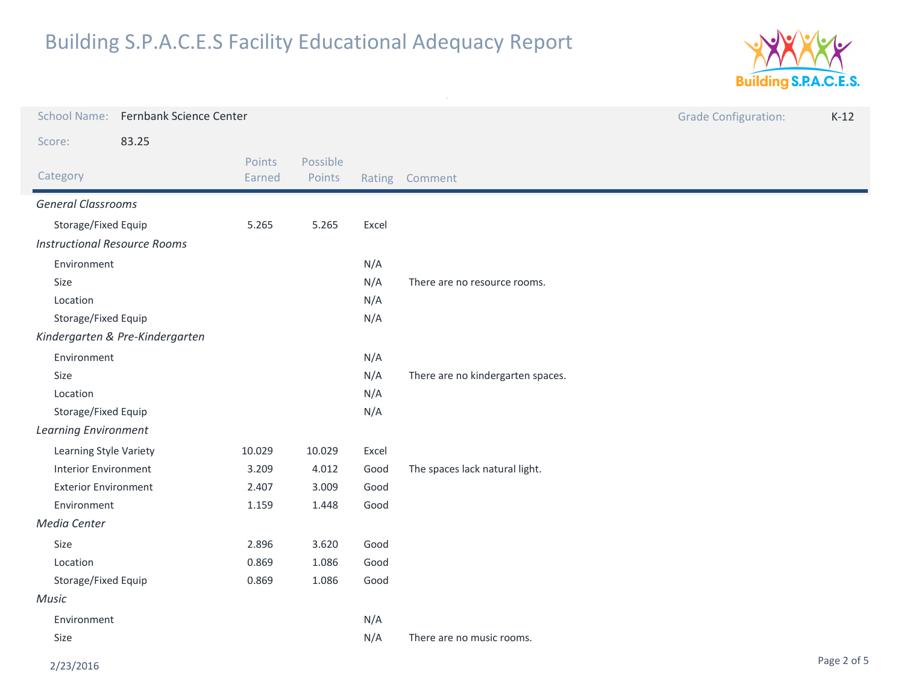

|                              | School Name: Fernbank Science Center |                  |                    |       |                                   | <b>Grade Configuration:</b> | $K-12$ |
|------------------------------|--------------------------------------|------------------|--------------------|-------|-----------------------------------|-----------------------------|--------|
| Score:                       | 83.25                                |                  |                    |       |                                   |                             |        |
| Category                     |                                      | Points<br>Earned | Possible<br>Points |       | Rating Comment                    |                             |        |
| <b>General Classrooms</b>    |                                      |                  |                    |       |                                   |                             |        |
| Storage/Fixed Equip<br>5.265 |                                      | 5.265            | Excel              |       |                                   |                             |        |
|                              | <b>Instructional Resource Rooms</b>  |                  |                    |       |                                   |                             |        |
| Environment                  |                                      |                  |                    | N/A   |                                   |                             |        |
| Size                         |                                      |                  |                    | N/A   | There are no resource rooms.      |                             |        |
| Location                     |                                      |                  |                    | N/A   |                                   |                             |        |
| Storage/Fixed Equip          |                                      |                  |                    | N/A   |                                   |                             |        |
|                              | Kindergarten & Pre-Kindergarten      |                  |                    |       |                                   |                             |        |
| Environment                  |                                      |                  |                    | N/A   |                                   |                             |        |
| Size                         |                                      |                  |                    | N/A   | There are no kindergarten spaces. |                             |        |
| Location                     |                                      | N/A              |                    |       |                                   |                             |        |
| Storage/Fixed Equip          |                                      | N/A              |                    |       |                                   |                             |        |
| Learning Environment         |                                      |                  |                    |       |                                   |                             |        |
| Learning Style Variety       |                                      | 10.029           | 10.029             | Excel |                                   |                             |        |
| <b>Interior Environment</b>  |                                      | 3.209            | 4.012              | Good  | The spaces lack natural light.    |                             |        |
| <b>Exterior Environment</b>  |                                      | 2.407            | 3.009              | Good  |                                   |                             |        |
| Environment                  |                                      | 1.159            | 1.448              | Good  |                                   |                             |        |
| Media Center                 |                                      |                  |                    |       |                                   |                             |        |
| Size                         |                                      | 2.896            | 3.620              | Good  |                                   |                             |        |
| Location                     |                                      | 0.869            | 1.086              | Good  |                                   |                             |        |
| Storage/Fixed Equip          |                                      | 0.869            | 1.086              | Good  |                                   |                             |        |
| <b>Music</b>                 |                                      |                  |                    |       |                                   |                             |        |
| Environment                  |                                      |                  |                    | N/A   |                                   |                             |        |
| Size                         |                                      |                  |                    | N/A   | There are no music rooms.         |                             |        |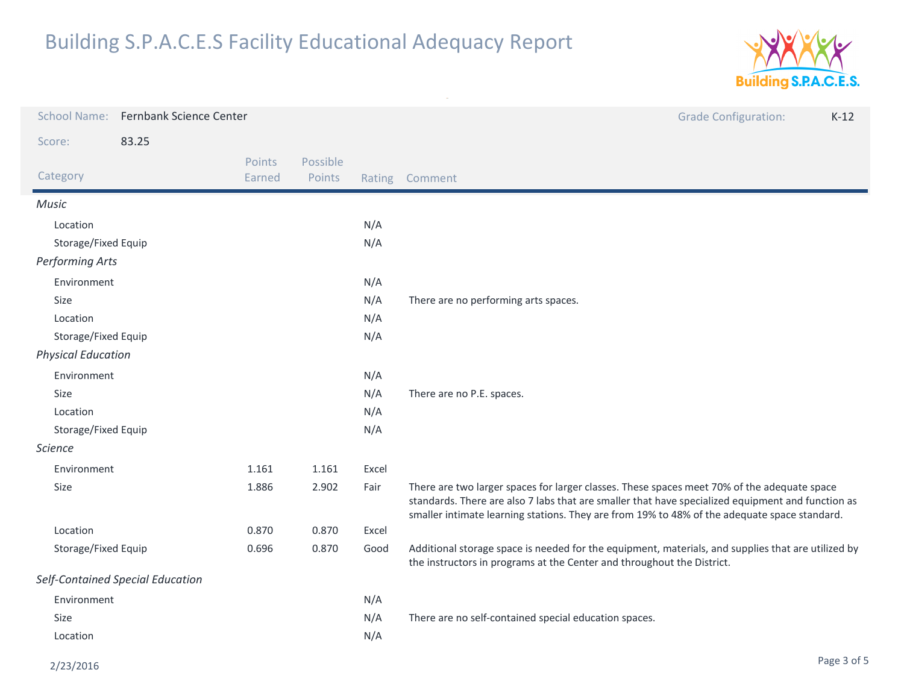

| <b>School Name:</b>       | Fernbank Science Center          |                  |                    |       | <b>Grade Configuration:</b><br>$K-12$                                                                                                                                                                                                                                                            |
|---------------------------|----------------------------------|------------------|--------------------|-------|--------------------------------------------------------------------------------------------------------------------------------------------------------------------------------------------------------------------------------------------------------------------------------------------------|
| Score:                    | 83.25                            |                  |                    |       |                                                                                                                                                                                                                                                                                                  |
| Category                  |                                  | Points<br>Earned | Possible<br>Points |       | Rating Comment                                                                                                                                                                                                                                                                                   |
| Music                     |                                  |                  |                    |       |                                                                                                                                                                                                                                                                                                  |
| Location                  |                                  |                  |                    | N/A   |                                                                                                                                                                                                                                                                                                  |
| Storage/Fixed Equip       |                                  |                  |                    | N/A   |                                                                                                                                                                                                                                                                                                  |
| <b>Performing Arts</b>    |                                  |                  |                    |       |                                                                                                                                                                                                                                                                                                  |
| Environment               |                                  |                  |                    | N/A   |                                                                                                                                                                                                                                                                                                  |
| Size                      |                                  |                  |                    | N/A   | There are no performing arts spaces.                                                                                                                                                                                                                                                             |
| Location                  |                                  |                  |                    | N/A   |                                                                                                                                                                                                                                                                                                  |
| Storage/Fixed Equip       |                                  |                  |                    | N/A   |                                                                                                                                                                                                                                                                                                  |
| <b>Physical Education</b> |                                  |                  |                    |       |                                                                                                                                                                                                                                                                                                  |
| Environment               |                                  |                  |                    | N/A   |                                                                                                                                                                                                                                                                                                  |
| Size                      |                                  |                  |                    | N/A   | There are no P.E. spaces.                                                                                                                                                                                                                                                                        |
| Location                  |                                  |                  |                    | N/A   |                                                                                                                                                                                                                                                                                                  |
| Storage/Fixed Equip       |                                  | N/A              |                    |       |                                                                                                                                                                                                                                                                                                  |
| <b>Science</b>            |                                  |                  |                    |       |                                                                                                                                                                                                                                                                                                  |
| Environment               |                                  | 1.161            | 1.161              | Excel |                                                                                                                                                                                                                                                                                                  |
| Size                      |                                  | 1.886            | 2.902              | Fair  | There are two larger spaces for larger classes. These spaces meet 70% of the adequate space<br>standards. There are also 7 labs that are smaller that have specialized equipment and function as<br>smaller intimate learning stations. They are from 19% to 48% of the adequate space standard. |
| Location                  |                                  | 0.870            | 0.870              | Excel |                                                                                                                                                                                                                                                                                                  |
| Storage/Fixed Equip       |                                  | 0.696            | 0.870              | Good  | Additional storage space is needed for the equipment, materials, and supplies that are utilized by<br>the instructors in programs at the Center and throughout the District.                                                                                                                     |
|                           | Self-Contained Special Education |                  |                    |       |                                                                                                                                                                                                                                                                                                  |
| Environment               |                                  |                  |                    | N/A   |                                                                                                                                                                                                                                                                                                  |
| Size                      |                                  |                  |                    | N/A   | There are no self-contained special education spaces.                                                                                                                                                                                                                                            |
| Location                  |                                  |                  |                    | N/A   |                                                                                                                                                                                                                                                                                                  |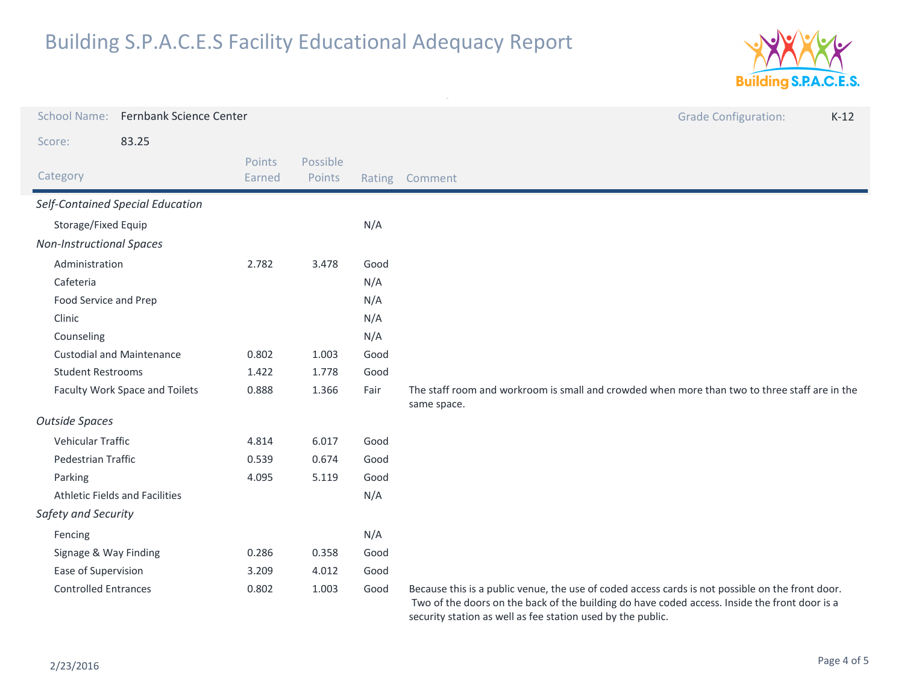

| <b>School Name:</b>                   | Fernbank Science Center          |        |          |      | <b>Grade Configuration:</b><br>$K-12$                                                                                                                                                                                                                            |
|---------------------------------------|----------------------------------|--------|----------|------|------------------------------------------------------------------------------------------------------------------------------------------------------------------------------------------------------------------------------------------------------------------|
| Score:                                | 83.25                            |        |          |      |                                                                                                                                                                                                                                                                  |
|                                       |                                  | Points | Possible |      |                                                                                                                                                                                                                                                                  |
| Category                              |                                  | Earned | Points   |      | Rating Comment                                                                                                                                                                                                                                                   |
|                                       | Self-Contained Special Education |        |          |      |                                                                                                                                                                                                                                                                  |
| Storage/Fixed Equip                   |                                  |        |          | N/A  |                                                                                                                                                                                                                                                                  |
| <b>Non-Instructional Spaces</b>       |                                  |        |          |      |                                                                                                                                                                                                                                                                  |
| Administration                        |                                  | 2.782  | 3.478    | Good |                                                                                                                                                                                                                                                                  |
| Cafeteria                             |                                  |        |          | N/A  |                                                                                                                                                                                                                                                                  |
| Food Service and Prep                 |                                  |        |          | N/A  |                                                                                                                                                                                                                                                                  |
| Clinic                                |                                  |        |          | N/A  |                                                                                                                                                                                                                                                                  |
| Counseling                            |                                  |        |          | N/A  |                                                                                                                                                                                                                                                                  |
| <b>Custodial and Maintenance</b>      |                                  | 0.802  | 1.003    | Good |                                                                                                                                                                                                                                                                  |
| <b>Student Restrooms</b>              |                                  | 1.422  | 1.778    | Good |                                                                                                                                                                                                                                                                  |
| Faculty Work Space and Toilets        |                                  | 0.888  | 1.366    | Fair | The staff room and workroom is small and crowded when more than two to three staff are in the<br>same space.                                                                                                                                                     |
| <b>Outside Spaces</b>                 |                                  |        |          |      |                                                                                                                                                                                                                                                                  |
| Vehicular Traffic                     |                                  | 4.814  | 6.017    | Good |                                                                                                                                                                                                                                                                  |
| <b>Pedestrian Traffic</b>             |                                  | 0.539  | 0.674    | Good |                                                                                                                                                                                                                                                                  |
| Parking                               |                                  | 4.095  | 5.119    | Good |                                                                                                                                                                                                                                                                  |
| <b>Athletic Fields and Facilities</b> |                                  |        |          | N/A  |                                                                                                                                                                                                                                                                  |
| Safety and Security                   |                                  |        |          |      |                                                                                                                                                                                                                                                                  |
| Fencing                               |                                  |        |          | N/A  |                                                                                                                                                                                                                                                                  |
| Signage & Way Finding                 |                                  | 0.286  | 0.358    | Good |                                                                                                                                                                                                                                                                  |
| Ease of Supervision                   |                                  | 3.209  | 4.012    | Good |                                                                                                                                                                                                                                                                  |
| <b>Controlled Entrances</b>           |                                  | 0.802  | 1.003    | Good | Because this is a public venue, the use of coded access cards is not possible on the front door.<br>Two of the doors on the back of the building do have coded access. Inside the front door is a<br>security station as well as fee station used by the public. |